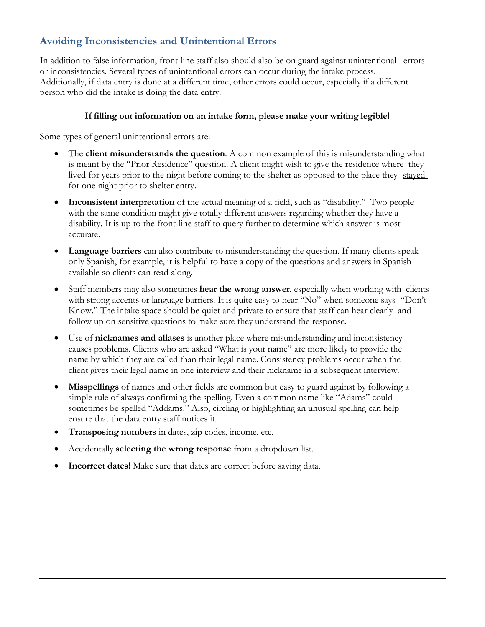# **Avoiding Inconsistencies and Unintentional Errors**

In addition to false information, front-line staff also should also be on guard against unintentional errors or inconsistencies. Several types of unintentional errors can occur during the intake process. Additionally, if data entry is done at a different time, other errors could occur, especially if a different person who did the intake is doing the data entry.

#### **If filling out information on an intake form, please make your writing legible!**

Some types of general unintentional errors are:

- The **client misunderstands the question**. A common example of this is misunderstanding what is meant by the "Prior Residence" question. A client might wish to give the residence where they lived for years prior to the night before coming to the shelter as opposed to the place they stayed for one night prior to shelter entry.
- **Inconsistent interpretation** of the actual meaning of a field, such as "disability." Two people with the same condition might give totally different answers regarding whether they have a disability. It is up to the front-line staff to query further to determine which answer is most accurate.
- **Language barriers** can also contribute to misunderstanding the question. If many clients speak only Spanish, for example, it is helpful to have a copy of the questions and answers in Spanish available so clients can read along.
- Staff members may also sometimes **hear the wrong answer**, especially when working with clients with strong accents or language barriers. It is quite easy to hear "No" when someone says "Don't Know." The intake space should be quiet and private to ensure that staff can hear clearly and follow up on sensitive questions to make sure they understand the response.
- Use of **nicknames and aliases** is another place where misunderstanding and inconsistency causes problems. Clients who are asked "What is your name" are more likely to provide the name by which they are called than their legal name. Consistency problems occur when the client gives their legal name in one interview and their nickname in a subsequent interview.
- **Misspellings** of names and other fields are common but easy to guard against by following a simple rule of always confirming the spelling. Even a common name like "Adams" could sometimes be spelled "Addams." Also, circling or highlighting an unusual spelling can help ensure that the data entry staff notices it.
- **Transposing numbers** in dates, zip codes, income, etc.
- Accidentally **selecting the wrong response** from a dropdown list.
- **Incorrect dates!** Make sure that dates are correct before saving data.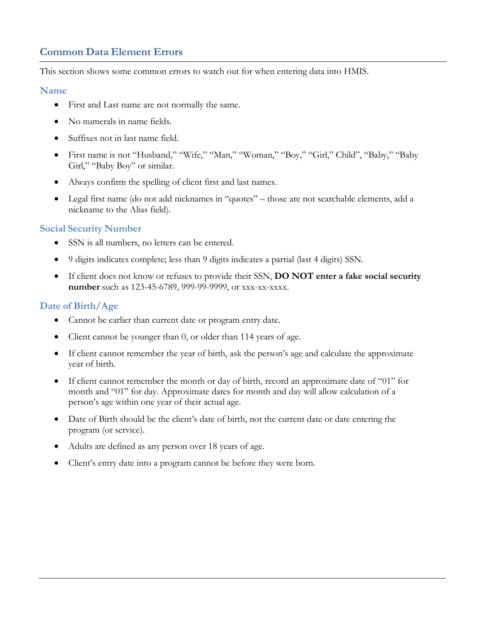# **Common Data Element Errors**

This section shows some common errors to watch out for when entering data into HMIS.

#### **Name**

- First and Last name are not normally the same.
- No numerals in name fields.
- Suffixes not in last name field.
- First name is not "Husband," "Wife," "Man," "Woman," "Boy," "Girl," Child", "Baby," "Baby Girl," "Baby Boy" or similar.
- Always confirm the spelling of client first and last names.
- Legal first name (do not add nicknames in "quotes" those are not searchable elements, add a nickname to the Alias field).

### **Social Security Number**

- SSN is all numbers, no letters can be entered.
- 9 digits indicates complete; less than 9 digits indicates a partial (last 4 digits) SSN.
- If client does not know or refuses to provide their SSN, **DO NOT enter a fake social security number** such as 123-45-6789, 999-99-9999, or xxx-xx-xxxx.

## **Date of Birth/Age**

- Cannot be earlier than current date or program entry date.
- Client cannot be younger than 0, or older than 114 years of age.
- If client cannot remember the year of birth, ask the person's age and calculate the approximate year of birth.
- If client cannot remember the month or day of birth, record an approximate date of "01" for month and "01" for day. Approximate dates for month and day will allow calculation of a person's age within one year of their actual age.
- Date of Birth should be the client's date of birth, not the current date or date entering the program (or service).
- Adults are defined as any person over 18 years of age.
- Client's entry date into a program cannot be before they were born.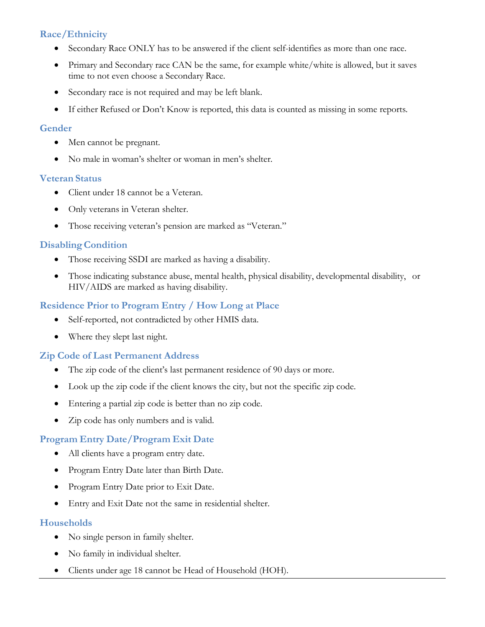## **Race/Ethnicity**

- Secondary Race ONLY has to be answered if the client self-identifies as more than one race.
- Primary and Secondary race CAN be the same, for example white/white is allowed, but it saves time to not even choose a Secondary Race.
- Secondary race is not required and may be left blank.
- If either Refused or Don't Know is reported, this data is counted as missing in some reports.

### **Gender**

- Men cannot be pregnant.
- No male in woman's shelter or woman in men's shelter.

#### **Veteran Status**

- Client under 18 cannot be a Veteran.
- Only veterans in Veteran shelter.
- Those receiving veteran's pension are marked as "Veteran."

### **DisablingCondition**

- Those receiving SSDI are marked as having a disability.
- Those indicating substance abuse, mental health, physical disability, developmental disability, or HIV/AIDS are marked as having disability.

### **Residence Prior to Program Entry / How Long at Place**

- Self-reported, not contradicted by other HMIS data.
- Where they slept last night.

### **Zip Code of Last Permanent Address**

- The zip code of the client's last permanent residence of 90 days or more.
- Look up the zip code if the client knows the city, but not the specific zip code.
- Entering a partial zip code is better than no zip code.
- Zip code has only numbers and is valid.

### **Program Entry Date/Program Exit Date**

- All clients have a program entry date.
- Program Entry Date later than Birth Date.
- Program Entry Date prior to Exit Date.
- Entry and Exit Date not the same in residential shelter.

### **Households**

- No single person in family shelter.
- No family in individual shelter.
- Clients under age 18 cannot be Head of Household (HOH).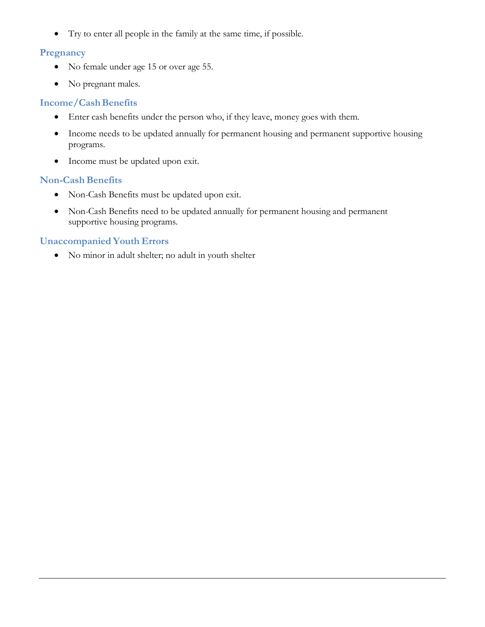• Try to enter all people in the family at the same time, if possible.

### **Pregnancy**

- No female under age 15 or over age 55.
- No pregnant males.

### **Income/CashBenefits**

- Enter cash benefits under the person who, if they leave, money goes with them.
- Income needs to be updated annually for permanent housing and permanent supportive housing programs.
- Income must be updated upon exit.

## **Non-Cash Benefits**

- Non-Cash Benefits must be updated upon exit.
- Non-Cash Benefits need to be updated annually for permanent housing and permanent supportive housing programs.

## **Unaccompanied Youth Errors**

• No minor in adult shelter; no adult in youth shelter